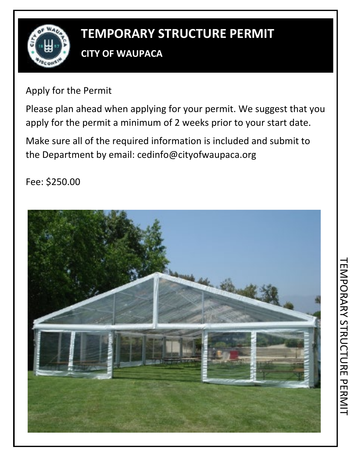

# **TEMPORARY STRUCTURE PERMIT**

# **CITY OF WAUPACA**

Apply for the Permit

Please plan ahead when applying for your permit. We suggest that you apply for the permit a minimum of 2 weeks prior to your start date.

Make sure all of the required information is included and submit to the Department by email: cedinfo@cityofwaupaca.org

Fee: \$250.00

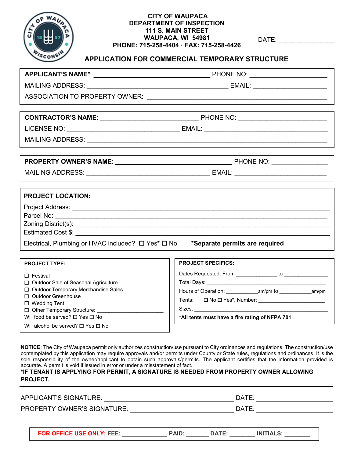

## **CITY OF WAUPACA DEPARTMENT OF INSPECTION 111 S. MAIN STREET WAUPACA, WI 54981 PHONE: 715-258-4404 · FAX: 715-258-4426**

DATE:  $\blacksquare$ 

# **APPLICATION FOR COMMERCIAL TEMPORARY STRUCTURE**

| <b>PROJECT LOCATION:</b>                                      |                                                        |  |  |
|---------------------------------------------------------------|--------------------------------------------------------|--|--|
|                                                               |                                                        |  |  |
|                                                               |                                                        |  |  |
|                                                               |                                                        |  |  |
| Electrical, Plumbing or HVAC included? □ Yes* □ No            | *Separate permits are required                         |  |  |
|                                                               |                                                        |  |  |
| <b>PROJECT TYPE:</b>                                          | <b>PROJECT SPECIFICS:</b>                              |  |  |
| $\square$ Festival                                            | Dates Requested: From ______________ to ______________ |  |  |
| □ Outdoor Sale of Seasonal Agriculture                        |                                                        |  |  |
| □ Outdoor Temporary Merchandise Sales<br>□ Outdoor Greenhouse |                                                        |  |  |
| $\Box$ Wedding Tent                                           |                                                        |  |  |

Will food be served?  $\square$  Yes  $\square$  No Will alcohol be served?  $\Box$  Yes  $\Box$  No

 $\Box$  Other Temporary Structure:

|        | Dates Requested: From _________<br>Total Days: _______ | to |  |
|--------|--------------------------------------------------------|----|--|
|        |                                                        |    |  |
|        | Tents: □ No □ Yes*, Number:                            |    |  |
| Sizes: |                                                        |    |  |

**NOTICE**: The City of Waupaca permit only authorizes construction/use pursuant to City ordinances and regulations. The construction/use contemplated by this application may require approvals and/or permits under County or State rules, regulations and ordinances. It is the sole responsibility of the owner/applicant to obtain such approvals/permits. The applicant certifies that the information provided is accurate. A permit is void if issued in error or under a misstatement of fact.

#### **\*IF TENANT IS APPLYING FOR PERMIT, A SIGNATURE IS NEEDED FROM PROPERTY OWNER ALLOWING PROJECT.**

| APPLICANT'S SIGNATURE:             |              |              | DATE:            |  |
|------------------------------------|--------------|--------------|------------------|--|
| <b>PROPERTY OWNER'S SIGNATURE:</b> |              |              | DATE:            |  |
|                                    |              |              |                  |  |
| <b>FOR OFFICE USE ONLY: FEE:</b>   | <b>PAID:</b> | <b>DATE:</b> | <b>INITIALS:</b> |  |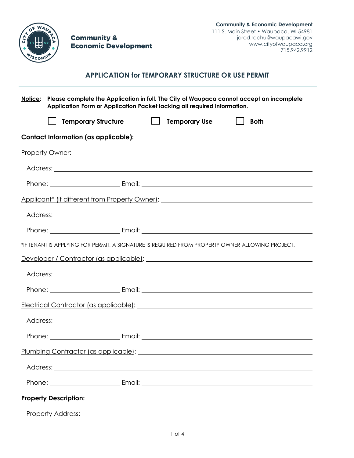

**Community & Economic Development** 

# **APPLICATION for TEMPORARY STRUCTURE OR USE PERMIT**

| Notice: | Please complete the Application in full. The City of Waupaca cannot accept an incomplete<br>Application Form or Application Packet lacking all required information. |  |  |              |             |
|---------|----------------------------------------------------------------------------------------------------------------------------------------------------------------------|--|--|--------------|-------------|
|         | Temporary Structure   Temporary Use                                                                                                                                  |  |  | $\mathbf{1}$ | <b>Both</b> |
|         | <b>Contact Information (as applicable):</b>                                                                                                                          |  |  |              |             |
|         |                                                                                                                                                                      |  |  |              |             |
|         |                                                                                                                                                                      |  |  |              |             |
|         |                                                                                                                                                                      |  |  |              |             |
|         |                                                                                                                                                                      |  |  |              |             |
|         |                                                                                                                                                                      |  |  |              |             |
|         |                                                                                                                                                                      |  |  |              |             |
|         | *IF TENANT IS APPLYING FOR PERMIT, A SIGNATURE IS REQUIRED FROM PROPERTY OWNER ALLOWING PROJECT.                                                                     |  |  |              |             |
|         | Developer / Contractor (as applicable): La Contractor (as applicable):                                                                                               |  |  |              |             |
|         |                                                                                                                                                                      |  |  |              |             |
|         |                                                                                                                                                                      |  |  |              |             |
|         | Electrical Contractor (as applicable): Notified and the contractor of the substitution of the contractor (as applicable):                                            |  |  |              |             |
|         |                                                                                                                                                                      |  |  |              |             |
|         |                                                                                                                                                                      |  |  |              |             |
|         | Plumbing Contractor (as applicable):                                                                                                                                 |  |  |              |             |
|         |                                                                                                                                                                      |  |  |              |             |
|         |                                                                                                                                                                      |  |  |              |             |
|         | <b>Property Description:</b>                                                                                                                                         |  |  |              |             |
|         |                                                                                                                                                                      |  |  |              |             |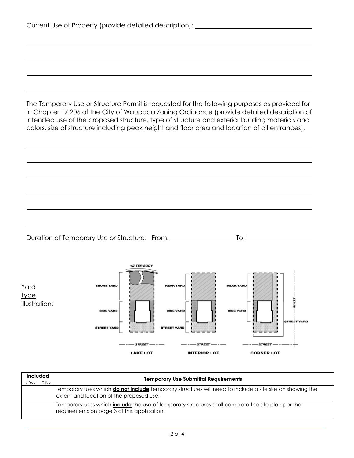|                            | Current Use of Property (provide detailed description): ________________________                                                                                                                                                                                                                                                                                                               |
|----------------------------|------------------------------------------------------------------------------------------------------------------------------------------------------------------------------------------------------------------------------------------------------------------------------------------------------------------------------------------------------------------------------------------------|
|                            |                                                                                                                                                                                                                                                                                                                                                                                                |
|                            |                                                                                                                                                                                                                                                                                                                                                                                                |
|                            |                                                                                                                                                                                                                                                                                                                                                                                                |
|                            | The Temporary Use or Structure Permit is requested for the following purposes as provided for<br>in Chapter 17.206 of the City of Waupaca Zoning Ordinance (provide detailed description of<br>intended use of the proposed structure, type of structure and exterior building materials and<br>colors, size of structure including peak height and floor area and location of all entrances). |
|                            |                                                                                                                                                                                                                                                                                                                                                                                                |
|                            |                                                                                                                                                                                                                                                                                                                                                                                                |
|                            |                                                                                                                                                                                                                                                                                                                                                                                                |
|                            |                                                                                                                                                                                                                                                                                                                                                                                                |
|                            | Duration of Temporary Use or Structure: From: ___________________________________                                                                                                                                                                                                                                                                                                              |
| <u>Yard</u><br><u>Type</u> | <b>WATER BODY</b><br><b>SHORE YARD</b><br><b>REAR YARD</b><br><b>REAR YARD</b>                                                                                                                                                                                                                                                                                                                 |
| Illustration:              | STREET<br><b>SIDE YARD</b><br><b>SIDE YARD</b><br><b>SIDE YARD</b><br><b>STREET YARD</b><br><b>STREET YARD</b><br><b>STREET YARD</b>                                                                                                                                                                                                                                                           |
|                            | $---$ street $---$<br>$---$ STREET $---$<br>$---$ STREET $---$                                                                                                                                                                                                                                                                                                                                 |

| <b>Included</b><br>$\sqrt{Y}$ es | X No | <b>Temporary Use Submittal Requirements</b>                                                                                                                |  |  |  |
|----------------------------------|------|------------------------------------------------------------------------------------------------------------------------------------------------------------|--|--|--|
|                                  |      | Temporary uses which <b>do not include</b> temporary structures will need to include a site sketch showing the<br>extent and location of the proposed use. |  |  |  |
|                                  |      | Temporary uses which <i>include</i> the use of temporary structures shall complete the site plan per the<br>requirements on page 3 of this application.    |  |  |  |

**INTERIOR LOT** 

**CORNER LOT** 

**LAKE LOT**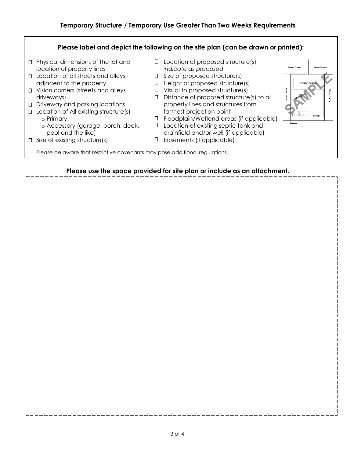# **Temporary Structure / Temporary Use Greater Than Two Weeks Requirements**

# **Please label and depict the following on the site plan (can be drawn or printed):**  $\Box$  Physical dimensions of the lot and  $\Box$  Location of proposed structure(s) location of property lines *indicate as proposed*  $\Box$  Location of all streets and alleys  $\Box$  Size of proposed structure(s) adjacent to the property  $\Box$  Height of proposed structure  $\Box$  Height of proposed structure(s)  $\Box$  Vision corners (streets and alleys  $\Box$  Visual to proposed structure(s) driveways) Distance of proposed structure(s) to all Driveway and parking locations property lines and structures from Location of All existing structure(s) farthest projection point o Primary<br>
o Accessory (garage, porch, deck,  $\Box$  Floodplain/Wetland areas (if applicable)<br>  $\Box$  Location of existing septic tank and Accessory (garage, porch, deck,  $\Box$  Location of existing septic tank and pool and the like)  $\Box$  drainfield and/or well (if applicable) drainfield and/or well (if applicable)  $\Box$  Size of existing structure(s)  $\Box$  Easements (if applicable) Please be aware that restrictive covenants may pose additional regulations.

## **Please use the space provided for site plan or include as an attachment.**